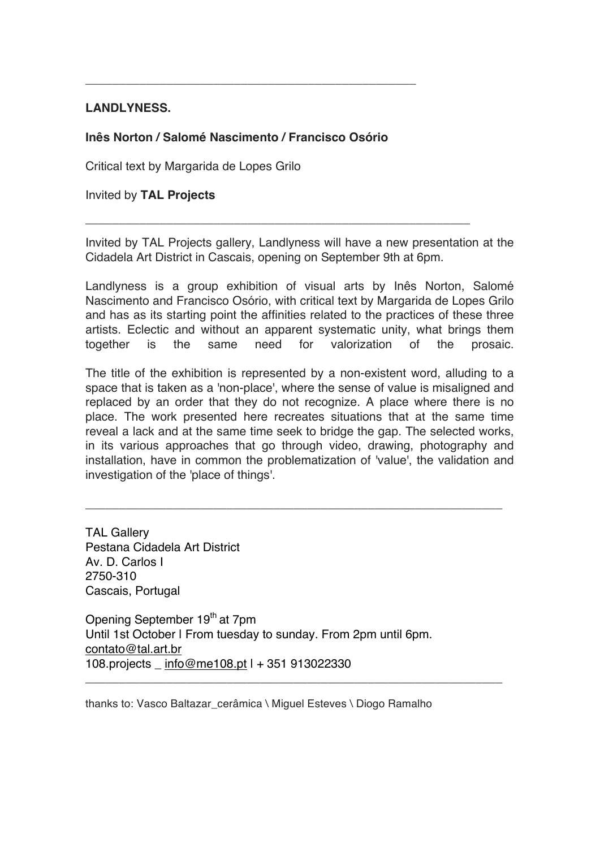## **LANDLYNESS.**

## **Inês Norton / Salomé Nascimento / Francisco Osório**

**\_\_\_\_\_\_\_\_\_\_\_\_\_\_\_\_\_\_\_\_\_\_\_\_\_\_\_\_\_\_\_\_\_\_\_\_\_\_\_\_\_\_\_\_\_\_\_\_\_**

Critical text by Margarida de Lopes Grilo

Invited by **TAL Projects**

Invited by TAL Projects gallery, Landlyness will have a new presentation at the Cidadela Art District in Cascais, opening on September 9th at 6pm.

**\_\_\_\_\_\_\_\_\_\_\_\_\_\_\_\_\_\_\_\_\_\_\_\_\_\_\_\_\_\_\_\_\_\_\_\_\_\_\_\_\_\_\_\_\_\_\_\_\_\_\_\_\_\_\_\_\_**

Landlyness is a group exhibition of visual arts by Inês Norton, Salomé Nascimento and Francisco Osório, with critical text by Margarida de Lopes Grilo and has as its starting point the affinities related to the practices of these three artists. Eclectic and without an apparent systematic unity, what brings them together is the same need for valorization of the prosaic.

The title of the exhibition is represented by a non-existent word, alluding to a space that is taken as a 'non-place', where the sense of value is misaligned and replaced by an order that they do not recognize. A place where there is no place. The work presented here recreates situations that at the same time reveal a lack and at the same time seek to bridge the gap. The selected works, in its various approaches that go through video, drawing, photography and installation, have in common the problematization of 'value', the validation and investigation of the 'place of things'.

\_\_\_\_\_\_\_\_\_\_\_\_\_\_\_\_\_\_\_\_\_\_\_\_\_\_\_\_\_\_\_\_\_\_\_\_\_\_\_\_\_\_\_\_\_\_\_\_\_\_\_\_\_\_\_\_\_\_\_\_\_\_

\_\_\_\_\_\_\_\_\_\_\_\_\_\_\_\_\_\_\_\_\_\_\_\_\_\_\_\_\_\_\_\_\_\_\_\_\_\_\_\_\_\_\_\_\_\_\_\_\_\_\_\_\_\_\_\_\_\_\_\_\_\_

TAL Gallery Pestana Cidadela Art District Av. D. Carlos I 2750-310 Cascais, Portugal

Opening September 19<sup>th</sup> at 7pm Until 1st October | From tuesday to sunday. From 2pm until 6pm. contato@tal.art.br 108.projects \_ info@me108.pt | + 351 913022330

thanks to: Vasco Baltazar\_cerâmica \ Miguel Esteves \ Diogo Ramalho